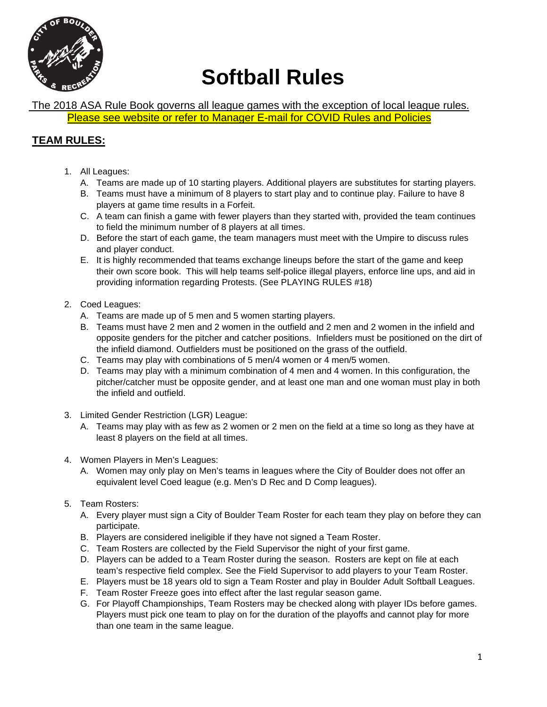

# **Softball Rules**

The 2018 ASA Rule Book governs all league games with the exception of local league rules. Please see website or refer to Manager E-mail for COVID Rules and Policies

# **TEAM RULES:**

- 1. All Leagues:
	- A. Teams are made up of 10 starting players. Additional players are substitutes for starting players.
	- B. Teams must have a minimum of 8 players to start play and to continue play. Failure to have 8 players at game time results in a Forfeit.
	- C. A team can finish a game with fewer players than they started with, provided the team continues to field the minimum number of 8 players at all times.
	- D. Before the start of each game, the team managers must meet with the Umpire to discuss rules and player conduct.
	- E. It is highly recommended that teams exchange lineups before the start of the game and keep their own score book. This will help teams self-police illegal players, enforce line ups, and aid in providing information regarding Protests. (See PLAYING RULES #18)
- 2. Coed Leagues:
	- A. Teams are made up of 5 men and 5 women starting players.
	- B. Teams must have 2 men and 2 women in the outfield and 2 men and 2 women in the infield and opposite genders for the pitcher and catcher positions. Infielders must be positioned on the dirt of the infield diamond. Outfielders must be positioned on the grass of the outfield.
	- C. Teams may play with combinations of 5 men/4 women or 4 men/5 women.
	- D. Teams may play with a minimum combination of 4 men and 4 women. In this configuration, the pitcher/catcher must be opposite gender, and at least one man and one woman must play in both the infield and outfield.
- 3. Limited Gender Restriction (LGR) League:
	- A. Teams may play with as few as 2 women or 2 men on the field at a time so long as they have at least 8 players on the field at all times.
- 4. Women Players in Men's Leagues:
	- A. Women may only play on Men's teams in leagues where the City of Boulder does not offer an equivalent level Coed league (e.g. Men's D Rec and D Comp leagues).
- 5. Team Rosters:
	- A. Every player must sign a City of Boulder Team Roster for each team they play on before they can participate.
	- B. Players are considered ineligible if they have not signed a Team Roster.
	- C. Team Rosters are collected by the Field Supervisor the night of your first game.
	- D. Players can be added to a Team Roster during the season. Rosters are kept on file at each team's respective field complex. See the Field Supervisor to add players to your Team Roster.
	- E. Players must be 18 years old to sign a Team Roster and play in Boulder Adult Softball Leagues.
	- F. Team Roster Freeze goes into effect after the last regular season game.
	- G. For Playoff Championships, Team Rosters may be checked along with player IDs before games. Players must pick one team to play on for the duration of the playoffs and cannot play for more than one team in the same league.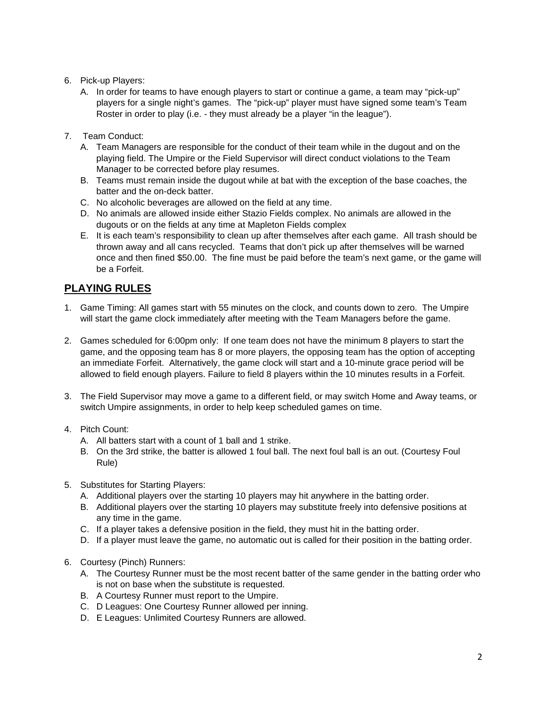## 6. Pick-up Players:

- A. In order for teams to have enough players to start or continue a game, a team may "pick-up" players for a single night's games. The "pick-up" player must have signed some team's Team Roster in order to play (i.e. - they must already be a player "in the league").
- 7. Team Conduct:
	- A. Team Managers are responsible for the conduct of their team while in the dugout and on the playing field. The Umpire or the Field Supervisor will direct conduct violations to the Team Manager to be corrected before play resumes.
	- B. Teams must remain inside the dugout while at bat with the exception of the base coaches, the batter and the on-deck batter.
	- C. No alcoholic beverages are allowed on the field at any time.
	- D. No animals are allowed inside either Stazio Fields complex. No animals are allowed in the dugouts or on the fields at any time at Mapleton Fields complex
	- E. It is each team's responsibility to clean up after themselves after each game. All trash should be thrown away and all cans recycled. Teams that don't pick up after themselves will be warned once and then fined \$50.00. The fine must be paid before the team's next game, or the game will be a Forfeit.

# **PLAYING RULES**

- 1. Game Timing: All games start with 55 minutes on the clock, and counts down to zero. The Umpire will start the game clock immediately after meeting with the Team Managers before the game.
- 2. Games scheduled for 6:00pm only: If one team does not have the minimum 8 players to start the game, and the opposing team has 8 or more players, the opposing team has the option of accepting an immediate Forfeit. Alternatively, the game clock will start and a 10-minute grace period will be allowed to field enough players. Failure to field 8 players within the 10 minutes results in a Forfeit.
- 3. The Field Supervisor may move a game to a different field, or may switch Home and Away teams, or switch Umpire assignments, in order to help keep scheduled games on time.
- 4. Pitch Count:
	- A. All batters start with a count of 1 ball and 1 strike.
	- B. On the 3rd strike, the batter is allowed 1 foul ball. The next foul ball is an out. (Courtesy Foul Rule)
- 5. Substitutes for Starting Players:
	- A. Additional players over the starting 10 players may hit anywhere in the batting order.
	- B. Additional players over the starting 10 players may substitute freely into defensive positions at any time in the game.
	- C. If a player takes a defensive position in the field, they must hit in the batting order.
	- D. If a player must leave the game, no automatic out is called for their position in the batting order.
- 6. Courtesy (Pinch) Runners:
	- A. The Courtesy Runner must be the most recent batter of the same gender in the batting order who is not on base when the substitute is requested.
	- B. A Courtesy Runner must report to the Umpire.
	- C. D Leagues: One Courtesy Runner allowed per inning.
	- D. E Leagues: Unlimited Courtesy Runners are allowed.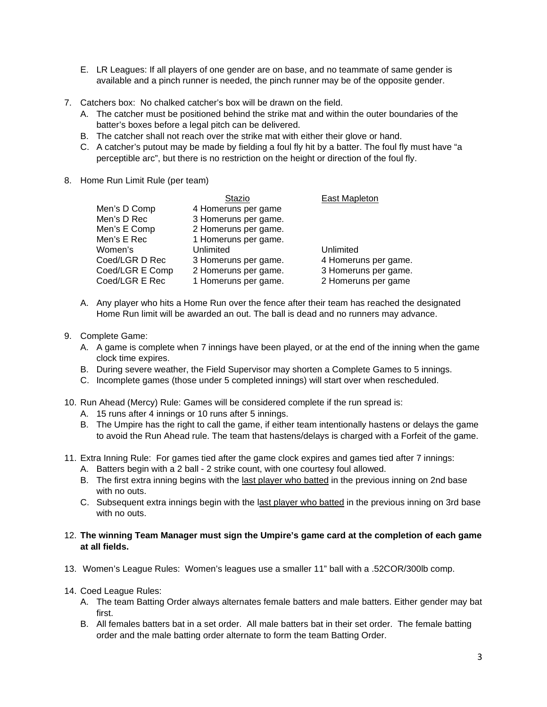- E. LR Leagues: If all players of one gender are on base, and no teammate of same gender is available and a pinch runner is needed, the pinch runner may be of the opposite gender.
- 7. Catchers box: No chalked catcher's box will be drawn on the field.
	- A. The catcher must be positioned behind the strike mat and within the outer boundaries of the batter's boxes before a legal pitch can be delivered.
	- B. The catcher shall not reach over the strike mat with either their glove or hand.
	- C. A catcher's putout may be made by fielding a foul fly hit by a batter. The foul fly must have "a perceptible arc", but there is no restriction on the height or direction of the foul fly.
- 8. Home Run Limit Rule (per team)

|                 | Stazio               | East Mapleton        |
|-----------------|----------------------|----------------------|
| Men's D Comp    | 4 Homeruns per game  |                      |
| Men's D Rec     | 3 Homeruns per game. |                      |
| Men's E Comp    | 2 Homeruns per game. |                      |
| Men's E Rec     | 1 Homeruns per game. |                      |
| Women's         | Unlimited            | Unlimited            |
| Coed/LGR D Rec  | 3 Homeruns per game. | 4 Homeruns per game. |
| Coed/LGR E Comp | 2 Homeruns per game. | 3 Homeruns per game. |
| Coed/LGR E Rec  | 1 Homeruns per game. | 2 Homeruns per game  |

- A. Any player who hits a Home Run over the fence after their team has reached the designated Home Run limit will be awarded an out. The ball is dead and no runners may advance.
- 9. Complete Game:
	- A. A game is complete when 7 innings have been played, or at the end of the inning when the game clock time expires.
	- B. During severe weather, the Field Supervisor may shorten a Complete Games to 5 innings.
	- C. Incomplete games (those under 5 completed innings) will start over when rescheduled.
- 10. Run Ahead (Mercy) Rule: Games will be considered complete if the run spread is:
	- A. 15 runs after 4 innings or 10 runs after 5 innings.
	- B. The Umpire has the right to call the game, if either team intentionally hastens or delays the game to avoid the Run Ahead rule. The team that hastens/delays is charged with a Forfeit of the game.
- 11. Extra Inning Rule: For games tied after the game clock expires and games tied after 7 innings:
	- A. Batters begin with a 2 ball 2 strike count, with one courtesy foul allowed.
	- B. The first extra inning begins with the last player who batted in the previous inning on 2nd base with no outs.
	- C. Subsequent extra innings begin with the last player who batted in the previous inning on 3rd base with no outs.
- 12. **The winning Team Manager must sign the Umpire's game card at the completion of each game at all fields.**
- 13. Women's League Rules: Women's leagues use a smaller 11" ball with a .52COR/300lb comp.
- 14. Coed League Rules:
	- A. The team Batting Order always alternates female batters and male batters. Either gender may bat first.
	- B. All females batters bat in a set order. All male batters bat in their set order. The female batting order and the male batting order alternate to form the team Batting Order.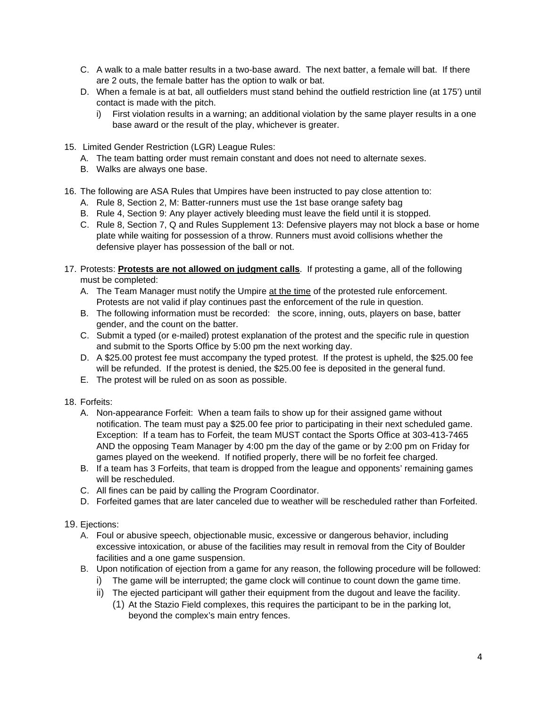- C. A walk to a male batter results in a two-base award. The next batter, a female will bat. If there are 2 outs, the female batter has the option to walk or bat.
- D. When a female is at bat, all outfielders must stand behind the outfield restriction line (at 175') until contact is made with the pitch.
	- i) First violation results in a warning; an additional violation by the same player results in a one base award or the result of the play, whichever is greater.
- 15. Limited Gender Restriction (LGR) League Rules:
	- A. The team batting order must remain constant and does not need to alternate sexes.
	- B. Walks are always one base.
- 16. The following are ASA Rules that Umpires have been instructed to pay close attention to:
	- A. Rule 8, Section 2, M: Batter-runners must use the 1st base orange safety bag
	- B. Rule 4, Section 9: Any player actively bleeding must leave the field until it is stopped.
	- C. Rule 8, Section 7, Q and Rules Supplement 13: Defensive players may not block a base or home plate while waiting for possession of a throw. Runners must avoid collisions whether the defensive player has possession of the ball or not.
- 17. Protests: **Protests are not allowed on judgment calls**. If protesting a game, all of the following must be completed:
	- A. The Team Manager must notify the Umpire at the time of the protested rule enforcement. Protests are not valid if play continues past the enforcement of the rule in question.
	- B. The following information must be recorded: the score, inning, outs, players on base, batter gender, and the count on the batter.
	- C. Submit a typed (or e-mailed) protest explanation of the protest and the specific rule in question and submit to the Sports Office by 5:00 pm the next working day.
	- D. A \$25.00 protest fee must accompany the typed protest. If the protest is upheld, the \$25.00 fee will be refunded. If the protest is denied, the \$25.00 fee is deposited in the general fund.
	- E. The protest will be ruled on as soon as possible.
- 18. Forfeits:
	- A. Non-appearance Forfeit: When a team fails to show up for their assigned game without notification. The team must pay a \$25.00 fee prior to participating in their next scheduled game. Exception: If a team has to Forfeit, the team MUST contact the Sports Office at 303-413-7465 AND the opposing Team Manager by 4:00 pm the day of the game or by 2:00 pm on Friday for games played on the weekend. If notified properly, there will be no forfeit fee charged.
	- B. If a team has 3 Forfeits, that team is dropped from the league and opponents' remaining games will be rescheduled.
	- C. All fines can be paid by calling the Program Coordinator.
	- D. Forfeited games that are later canceled due to weather will be rescheduled rather than Forfeited.

## 19. Ejections:

- A. Foul or abusive speech, objectionable music, excessive or dangerous behavior, including excessive intoxication, or abuse of the facilities may result in removal from the City of Boulder facilities and a one game suspension.
- B. Upon notification of ejection from a game for any reason, the following procedure will be followed:
	- i) The game will be interrupted; the game clock will continue to count down the game time.
	- ii) The ejected participant will gather their equipment from the dugout and leave the facility.
		- (1) At the Stazio Field complexes, this requires the participant to be in the parking lot, beyond the complex's main entry fences.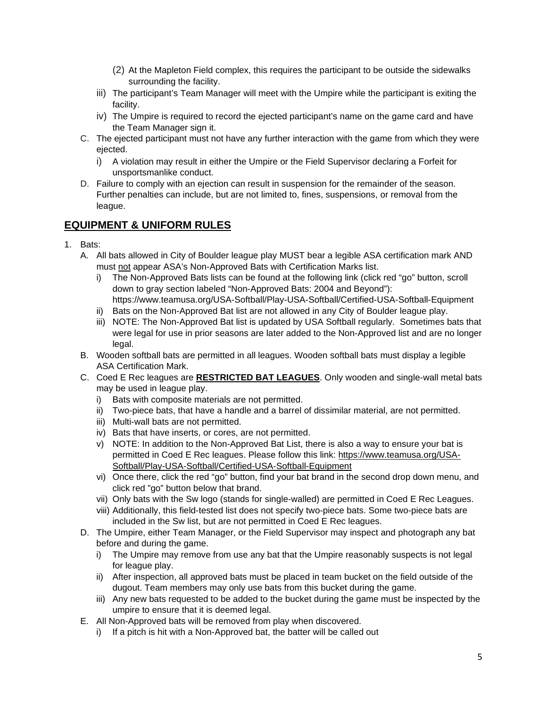- (2) At the Mapleton Field complex, this requires the participant to be outside the sidewalks surrounding the facility.
- iii) The participant's Team Manager will meet with the Umpire while the participant is exiting the facility.
- iv) The Umpire is required to record the ejected participant's name on the game card and have the Team Manager sign it.
- C. The ejected participant must not have any further interaction with the game from which they were ejected.
	- i) A violation may result in either the Umpire or the Field Supervisor declaring a Forfeit for unsportsmanlike conduct.
- D. Failure to comply with an ejection can result in suspension for the remainder of the season. Further penalties can include, but are not limited to, fines, suspensions, or removal from the league.

# **EQUIPMENT & UNIFORM RULES**

- 1. Bats:
	- A. All bats allowed in City of Boulder league play MUST bear a legible ASA certification mark AND must not appear ASA's Non-Approved Bats with Certification Marks list.
		- i) The Non-Approved Bats lists can be found at the following link (click red "go" button, scroll down to gray section labeled "Non-Approved Bats: 2004 and Beyond"):
		- https://www.teamusa.org/USA-Softball/Play-USA-Softball/Certified-USA-Softball-Equipment
		- ii) Bats on the Non-Approved Bat list are not allowed in any City of Boulder league play.
		- iii) NOTE: The Non-Approved Bat list is updated by USA Softball regularly. Sometimes bats that were legal for use in prior seasons are later added to the Non-Approved list and are no longer legal.
	- B. Wooden softball bats are permitted in all leagues. Wooden softball bats must display a legible ASA Certification Mark.
	- C. Coed E Rec leagues are **RESTRICTED BAT LEAGUES**. Only wooden and single-wall metal bats may be used in league play.
		- i) Bats with composite materials are not permitted.
		- ii) Two-piece bats, that have a handle and a barrel of dissimilar material, are not permitted.
		- iii) Multi-wall bats are not permitted.
		- iv) Bats that have inserts, or cores, are not permitted.
		- v) NOTE: In addition to the Non-Approved Bat List, there is also a way to ensure your bat is permitted in Coed E Rec leagues. Please follow this link: [https://www.teamusa.org/USA-](https://www.teamusa.org/USA-Softball/Play-USA-Softball/Certified-USA-Softball-Equipment)[Softball/Play-USA-Softball/Certified-USA-Softball-Equipment](https://www.teamusa.org/USA-Softball/Play-USA-Softball/Certified-USA-Softball-Equipment)
		- vi) Once there, click the red "go" button, find your bat brand in the second drop down menu, and click red "go" button below that brand.
		- vii) Only bats with the Sw logo (stands for single-walled) are permitted in Coed E Rec Leagues.
		- viii) Additionally, this field-tested list does not specify two-piece bats. Some two-piece bats are included in the Sw list, but are not permitted in Coed E Rec leagues.
	- D. The Umpire, either Team Manager, or the Field Supervisor may inspect and photograph any bat before and during the game.
		- i) The Umpire may remove from use any bat that the Umpire reasonably suspects is not legal for league play.
		- ii) After inspection, all approved bats must be placed in team bucket on the field outside of the dugout. Team members may only use bats from this bucket during the game.
		- iii) Any new bats requested to be added to the bucket during the game must be inspected by the umpire to ensure that it is deemed legal.
	- E. All Non-Approved bats will be removed from play when discovered.
		- i) If a pitch is hit with a Non-Approved bat, the batter will be called out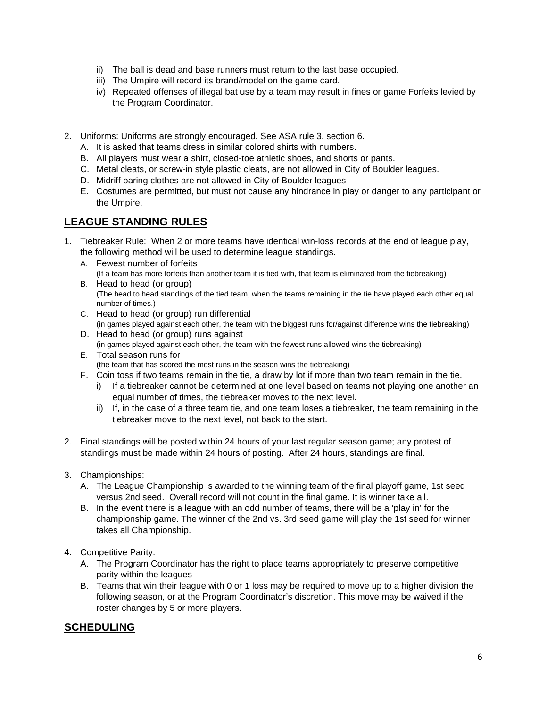- ii) The ball is dead and base runners must return to the last base occupied.
- iii) The Umpire will record its brand/model on the game card.
- iv) Repeated offenses of illegal bat use by a team may result in fines or game Forfeits levied by the Program Coordinator.
- 2. Uniforms: Uniforms are strongly encouraged. See ASA rule 3, section 6.
	- A. It is asked that teams dress in similar colored shirts with numbers.
	- B. All players must wear a shirt, closed-toe athletic shoes, and shorts or pants.
	- C. Metal cleats, or screw-in style plastic cleats, are not allowed in City of Boulder leagues.
	- D. Midriff baring clothes are not allowed in City of Boulder leagues
	- E. Costumes are permitted, but must not cause any hindrance in play or danger to any participant or the Umpire.

# **LEAGUE STANDING RULES**

- 1. Tiebreaker Rule: When 2 or more teams have identical win-loss records at the end of league play, the following method will be used to determine league standings.
	- A. Fewest number of forfeits (If a team has more forfeits than another team it is tied with, that team is eliminated from the tiebreaking)
	- B. Head to head (or group) (The head to head standings of the tied team, when the teams remaining in the tie have played each other equal number of times.)
	- C. Head to head (or group) run differential
	- (in games played against each other, the team with the biggest runs for/against difference wins the tiebreaking) D. Head to head (or group) runs against
	- (in games played against each other, the team with the fewest runs allowed wins the tiebreaking) E. Total season runs for
	- (the team that has scored the most runs in the season wins the tiebreaking)
	- F. Coin toss if two teams remain in the tie, a draw by lot if more than two team remain in the tie.
		- i) If a tiebreaker cannot be determined at one level based on teams not playing one another an equal number of times, the tiebreaker moves to the next level.
		- ii) If, in the case of a three team tie, and one team loses a tiebreaker, the team remaining in the tiebreaker move to the next level, not back to the start.
- 2. Final standings will be posted within 24 hours of your last regular season game; any protest of standings must be made within 24 hours of posting. After 24 hours, standings are final.
- 3. Championships:
	- A. The League Championship is awarded to the winning team of the final playoff game, 1st seed versus 2nd seed. Overall record will not count in the final game. It is winner take all.
	- B. In the event there is a league with an odd number of teams, there will be a 'play in' for the championship game. The winner of the 2nd vs. 3rd seed game will play the 1st seed for winner takes all Championship.
- 4. Competitive Parity:
	- A. The Program Coordinator has the right to place teams appropriately to preserve competitive parity within the leagues
	- B. Teams that win their league with 0 or 1 loss may be required to move up to a higher division the following season, or at the Program Coordinator's discretion. This move may be waived if the roster changes by 5 or more players.

# **SCHEDULING**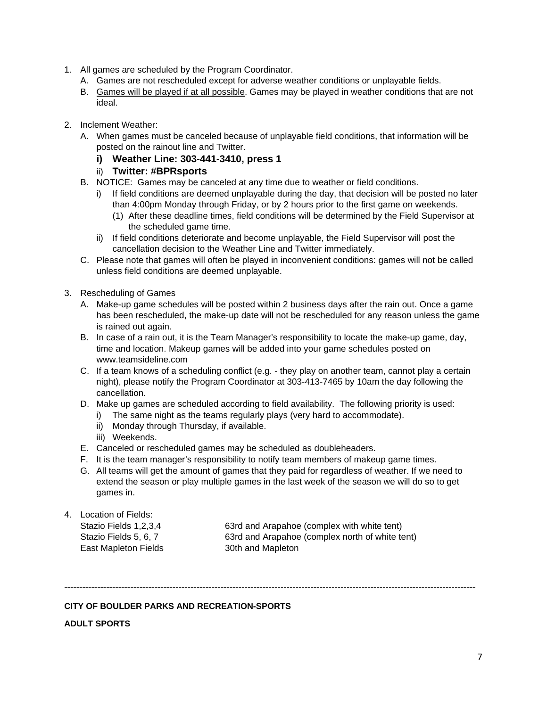- 1. All games are scheduled by the Program Coordinator.
	- A. Games are not rescheduled except for adverse weather conditions or unplayable fields.
	- B. Games will be played if at all possible. Games may be played in weather conditions that are not ideal.
- 2. Inclement Weather:
	- A. When games must be canceled because of unplayable field conditions, that information will be posted on the rainout line and Twitter.
		- **i) Weather Line: 303-441-3410, press 1**
		- ii) **Twitter: #BPRsports**
	- B. NOTICE: Games may be canceled at any time due to weather or field conditions.
		- i) If field conditions are deemed unplayable during the day, that decision will be posted no later than 4:00pm Monday through Friday, or by 2 hours prior to the first game on weekends.
			- (1) After these deadline times, field conditions will be determined by the Field Supervisor at the scheduled game time.
		- ii) If field conditions deteriorate and become unplayable, the Field Supervisor will post the cancellation decision to the Weather Line and Twitter immediately.
	- C. Please note that games will often be played in inconvenient conditions: games will not be called unless field conditions are deemed unplayable.
- 3. Rescheduling of Games
	- A. Make-up game schedules will be posted within 2 business days after the rain out. Once a game has been rescheduled, the make-up date will not be rescheduled for any reason unless the game is rained out again.
	- B. In case of a rain out, it is the Team Manager's responsibility to locate the make-up game, day, time and location. Makeup games will be added into your game schedules posted on www.teamsideline.com
	- C. If a team knows of a scheduling conflict (e.g. they play on another team, cannot play a certain night), please notify the Program Coordinator at 303-413-7465 by 10am the day following the cancellation.
	- D. Make up games are scheduled according to field availability. The following priority is used:
		- i) The same night as the teams regularly plays (very hard to accommodate).
		- ii) Monday through Thursday, if available.
		- iii) Weekends.
	- E. Canceled or rescheduled games may be scheduled as doubleheaders.
	- F. It is the team manager's responsibility to notify team members of makeup game times.
	- G. All teams will get the amount of games that they paid for regardless of weather. If we need to extend the season or play multiple games in the last week of the season we will do so to get games in.
- 4. Location of Fields:

East Mapleton Fields 30th and Mapleton

Stazio Fields 1,2,3,4 63rd and Arapahoe (complex with white tent) Stazio Fields 5, 6, 7 63rd and Arapahoe (complex north of white tent)

-----------------------------------------------------------------------------------------------------------------------------------------

## **CITY OF BOULDER PARKS AND RECREATION-SPORTS**

**ADULT SPORTS**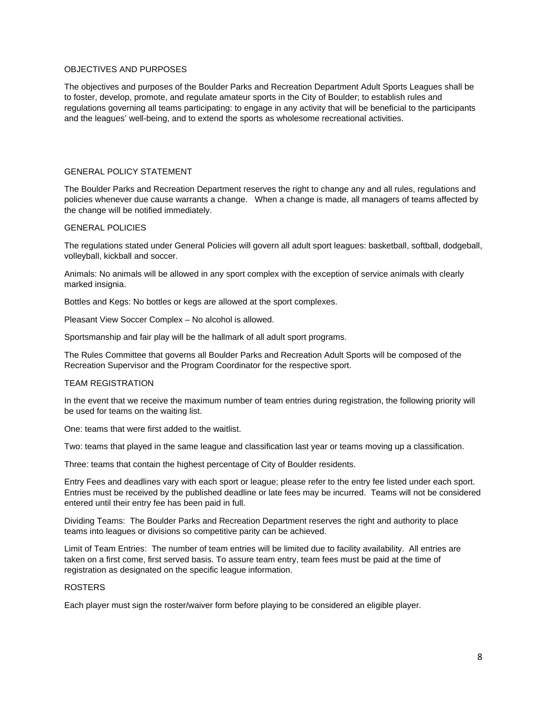#### OBJECTIVES AND PURPOSES

The objectives and purposes of the Boulder Parks and Recreation Department Adult Sports Leagues shall be to foster, develop, promote, and regulate amateur sports in the City of Boulder; to establish rules and regulations governing all teams participating: to engage in any activity that will be beneficial to the participants and the leagues' well-being, and to extend the sports as wholesome recreational activities.

### GENERAL POLICY STATEMENT

The Boulder Parks and Recreation Department reserves the right to change any and all rules, regulations and policies whenever due cause warrants a change. When a change is made, all managers of teams affected by the change will be notified immediately.

#### GENERAL POLICIES

The regulations stated under General Policies will govern all adult sport leagues: basketball, softball, dodgeball, volleyball, kickball and soccer.

Animals: No animals will be allowed in any sport complex with the exception of service animals with clearly marked insignia.

Bottles and Kegs: No bottles or kegs are allowed at the sport complexes.

Pleasant View Soccer Complex – No alcohol is allowed.

Sportsmanship and fair play will be the hallmark of all adult sport programs.

The Rules Committee that governs all Boulder Parks and Recreation Adult Sports will be composed of the Recreation Supervisor and the Program Coordinator for the respective sport.

#### TEAM REGISTRATION

In the event that we receive the maximum number of team entries during registration, the following priority will be used for teams on the waiting list.

One: teams that were first added to the waitlist.

Two: teams that played in the same league and classification last year or teams moving up a classification.

Three: teams that contain the highest percentage of City of Boulder residents.

Entry Fees and deadlines vary with each sport or league; please refer to the entry fee listed under each sport. Entries must be received by the published deadline or late fees may be incurred. Teams will not be considered entered until their entry fee has been paid in full.

Dividing Teams: The Boulder Parks and Recreation Department reserves the right and authority to place teams into leagues or divisions so competitive parity can be achieved.

Limit of Team Entries: The number of team entries will be limited due to facility availability. All entries are taken on a first come, first served basis. To assure team entry, team fees must be paid at the time of registration as designated on the specific league information.

#### ROSTERS

Each player must sign the roster/waiver form before playing to be considered an eligible player.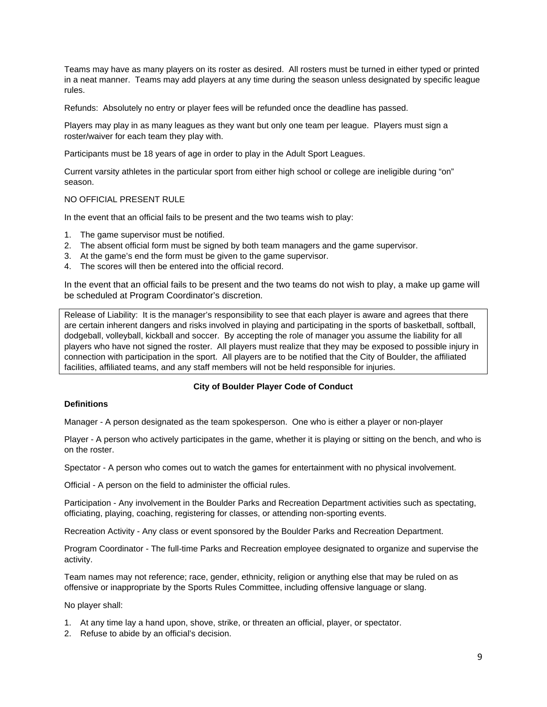Teams may have as many players on its roster as desired. All rosters must be turned in either typed or printed in a neat manner. Teams may add players at any time during the season unless designated by specific league rules.

Refunds: Absolutely no entry or player fees will be refunded once the deadline has passed.

Players may play in as many leagues as they want but only one team per league. Players must sign a roster/waiver for each team they play with.

Participants must be 18 years of age in order to play in the Adult Sport Leagues.

Current varsity athletes in the particular sport from either high school or college are ineligible during "on" season.

## NO OFFICIAL PRESENT RULE

In the event that an official fails to be present and the two teams wish to play:

- 1. The game supervisor must be notified.
- 2. The absent official form must be signed by both team managers and the game supervisor.
- 3. At the game's end the form must be given to the game supervisor.
- 4. The scores will then be entered into the official record.

In the event that an official fails to be present and the two teams do not wish to play, a make up game will be scheduled at Program Coordinator's discretion.

Release of Liability: It is the manager's responsibility to see that each player is aware and agrees that there are certain inherent dangers and risks involved in playing and participating in the sports of basketball, softball, dodgeball, volleyball, kickball and soccer. By accepting the role of manager you assume the liability for all players who have not signed the roster. All players must realize that they may be exposed to possible injury in connection with participation in the sport. All players are to be notified that the City of Boulder, the affiliated facilities, affiliated teams, and any staff members will not be held responsible for injuries.

## **City of Boulder Player Code of Conduct**

#### **Definitions**

Manager - A person designated as the team spokesperson. One who is either a player or non-player

Player - A person who actively participates in the game, whether it is playing or sitting on the bench, and who is on the roster.

Spectator - A person who comes out to watch the games for entertainment with no physical involvement.

Official - A person on the field to administer the official rules.

Participation - Any involvement in the Boulder Parks and Recreation Department activities such as spectating, officiating, playing, coaching, registering for classes, or attending non-sporting events.

Recreation Activity - Any class or event sponsored by the Boulder Parks and Recreation Department.

Program Coordinator - The full-time Parks and Recreation employee designated to organize and supervise the activity.

Team names may not reference; race, gender, ethnicity, religion or anything else that may be ruled on as offensive or inappropriate by the Sports Rules Committee, including offensive language or slang.

No player shall:

- 1. At any time lay a hand upon, shove, strike, or threaten an official, player, or spectator.
- 2. Refuse to abide by an official's decision.